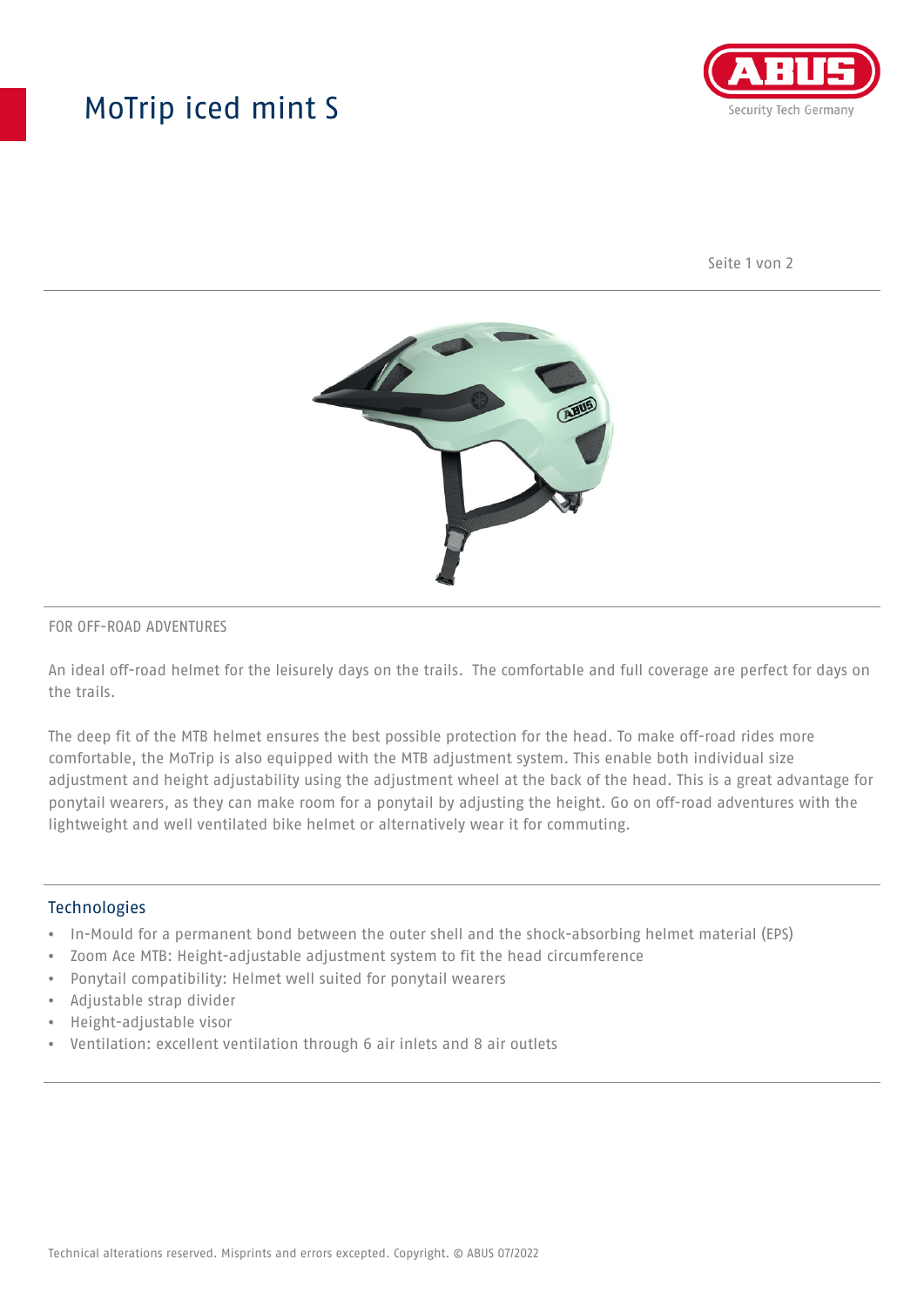## MoTrip iced mint S



Seite 1 von 2



#### FOR OFF-ROAD ADVENTURES

An ideal off-road helmet for the leisurely days on the trails. The comfortable and full coverage are perfect for days on the trails.

The deep fit of the MTB helmet ensures the best possible protection for the head. To make off-road rides more comfortable, the MoTrip is also equipped with the MTB adjustment system. This enable both individual size adjustment and height adjustability using the adjustment wheel at the back of the head. This is a great advantage for ponytail wearers, as they can make room for a ponytail by adjusting the height. Go on off-road adventures with the lightweight and well ventilated bike helmet or alternatively wear it for commuting.

### Technologies

- In-Mould for a permanent bond between the outer shell and the shock-absorbing helmet material (EPS)
- Zoom Ace MTB: Height-adjustable adjustment system to fit the head circumference
- Ponytail compatibility: Helmet well suited for ponytail wearers
- Adjustable strap divider
- Height-adjustable visor
- Ventilation: excellent ventilation through 6 air inlets and 8 air outlets